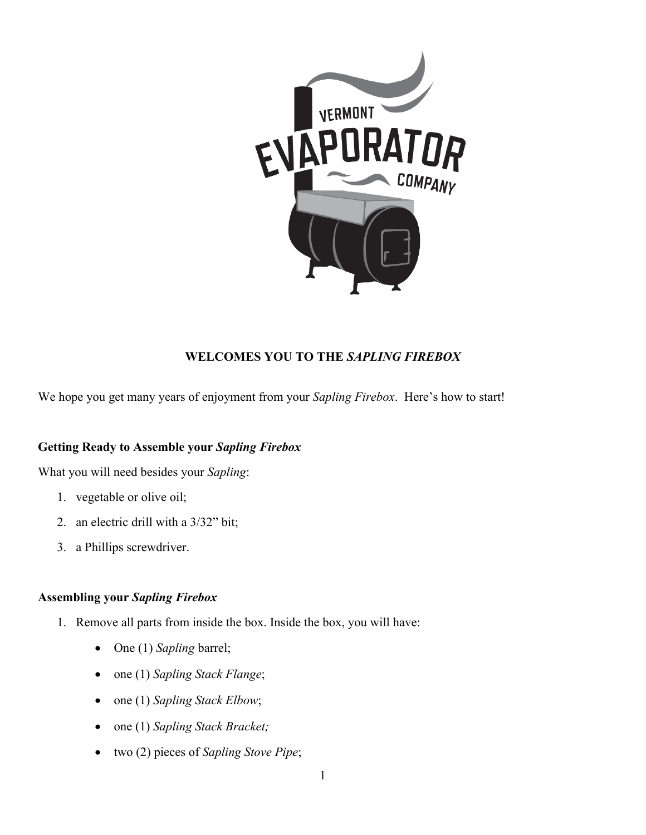

## **WELCOMES YOU TO THE** *SAPLING FIREBOX*

We hope you get many years of enjoyment from your *Sapling Firebox*. Here's how to start!

## **Getting Ready to Assemble your** *Sapling Firebox*

What you will need besides your *Sapling*:

- 1. vegetable or olive oil;
- 2. an electric drill with a 3/32" bit;
- 3. a Phillips screwdriver.

## **Assembling your** *Sapling Firebox*

- 1. Remove all parts from inside the box. Inside the box, you will have:
	- One (1) *Sapling* barrel;
	- one (1) *Sapling Stack Flange*;
	- one (1) *Sapling Stack Elbow*;
	- one (1) *Sapling Stack Bracket;*
	- two (2) pieces of *Sapling Stove Pipe*;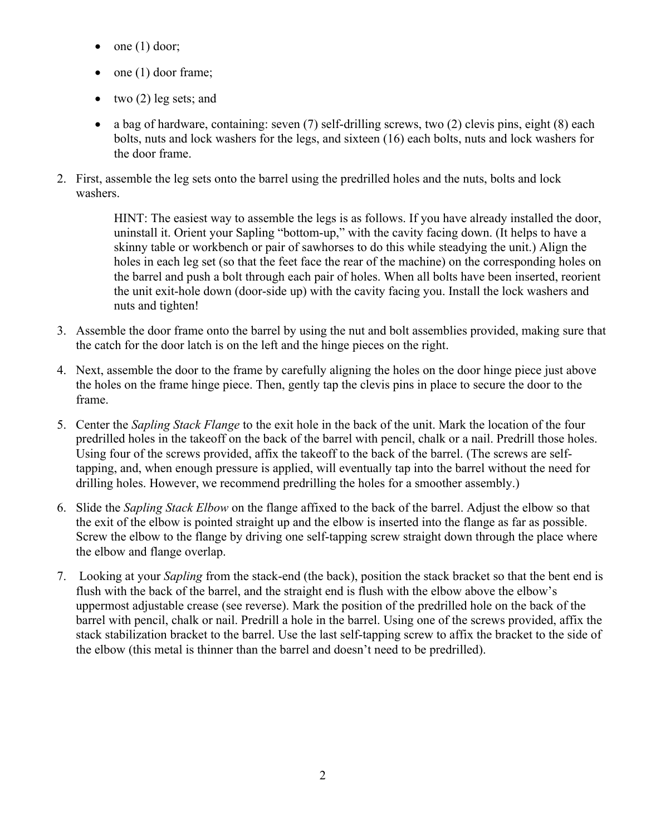- one (1) door;
- one (1) door frame;
- two (2) leg sets; and
- a bag of hardware, containing: seven (7) self-drilling screws, two (2) clevis pins, eight (8) each bolts, nuts and lock washers for the legs, and sixteen (16) each bolts, nuts and lock washers for the door frame.
- 2. First, assemble the leg sets onto the barrel using the predrilled holes and the nuts, bolts and lock washers.

HINT: The easiest way to assemble the legs is as follows. If you have already installed the door, uninstall it. Orient your Sapling "bottom-up," with the cavity facing down. (It helps to have a skinny table or workbench or pair of sawhorses to do this while steadying the unit.) Align the holes in each leg set (so that the feet face the rear of the machine) on the corresponding holes on the barrel and push a bolt through each pair of holes. When all bolts have been inserted, reorient the unit exit-hole down (door-side up) with the cavity facing you. Install the lock washers and nuts and tighten!

- 3. Assemble the door frame onto the barrel by using the nut and bolt assemblies provided, making sure that the catch for the door latch is on the left and the hinge pieces on the right.
- 4. Next, assemble the door to the frame by carefully aligning the holes on the door hinge piece just above the holes on the frame hinge piece. Then, gently tap the clevis pins in place to secure the door to the frame.
- 5. Center the *Sapling Stack Flange* to the exit hole in the back of the unit. Mark the location of the four predrilled holes in the takeoff on the back of the barrel with pencil, chalk or a nail. Predrill those holes. Using four of the screws provided, affix the takeoff to the back of the barrel. (The screws are selftapping, and, when enough pressure is applied, will eventually tap into the barrel without the need for drilling holes. However, we recommend predrilling the holes for a smoother assembly.)
- 6. Slide the *Sapling Stack Elbow* on the flange affixed to the back of the barrel. Adjust the elbow so that the exit of the elbow is pointed straight up and the elbow is inserted into the flange as far as possible. Screw the elbow to the flange by driving one self-tapping screw straight down through the place where the elbow and flange overlap.
- 7. Looking at your *Sapling* from the stack-end (the back), position the stack bracket so that the bent end is flush with the back of the barrel, and the straight end is flush with the elbow above the elbow's uppermost adjustable crease (see reverse). Mark the position of the predrilled hole on the back of the barrel with pencil, chalk or nail. Predrill a hole in the barrel. Using one of the screws provided, affix the stack stabilization bracket to the barrel. Use the last self-tapping screw to affix the bracket to the side of the elbow (this metal is thinner than the barrel and doesn't need to be predrilled).